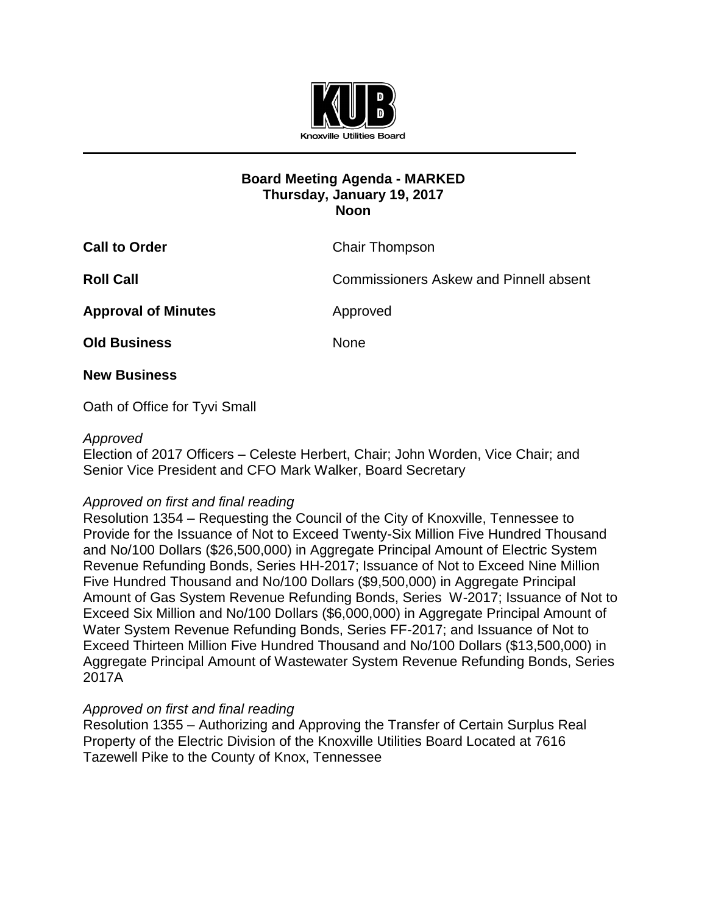

# **Board Meeting Agenda - MARKED Thursday, January 19, 2017 Noon**

| <b>Call to Order</b>       | <b>Chair Thompson</b>                         |
|----------------------------|-----------------------------------------------|
| <b>Roll Call</b>           | <b>Commissioners Askew and Pinnell absent</b> |
| <b>Approval of Minutes</b> | Approved                                      |
| <b>Old Business</b>        | <b>None</b>                                   |
| <b>New Business</b>        |                                               |

Oath of Office for Tyvi Small

#### *Approved*

Election of 2017 Officers *–* Celeste Herbert, Chair; John Worden, Vice Chair; and Senior Vice President and CFO Mark Walker, Board Secretary

## *Approved on first and final reading*

Resolution 1354 – Requesting the Council of the City of Knoxville, Tennessee to Provide for the Issuance of Not to Exceed Twenty-Six Million Five Hundred Thousand and No/100 Dollars (\$26,500,000) in Aggregate Principal Amount of Electric System Revenue Refunding Bonds, Series HH-2017; Issuance of Not to Exceed Nine Million Five Hundred Thousand and No/100 Dollars (\$9,500,000) in Aggregate Principal Amount of Gas System Revenue Refunding Bonds, Series W-2017; Issuance of Not to Exceed Six Million and No/100 Dollars (\$6,000,000) in Aggregate Principal Amount of Water System Revenue Refunding Bonds, Series FF-2017; and Issuance of Not to Exceed Thirteen Million Five Hundred Thousand and No/100 Dollars (\$13,500,000) in Aggregate Principal Amount of Wastewater System Revenue Refunding Bonds, Series 2017A

## *Approved on first and final reading*

Resolution 1355 – Authorizing and Approving the Transfer of Certain Surplus Real Property of the Electric Division of the Knoxville Utilities Board Located at 7616 Tazewell Pike to the County of Knox, Tennessee